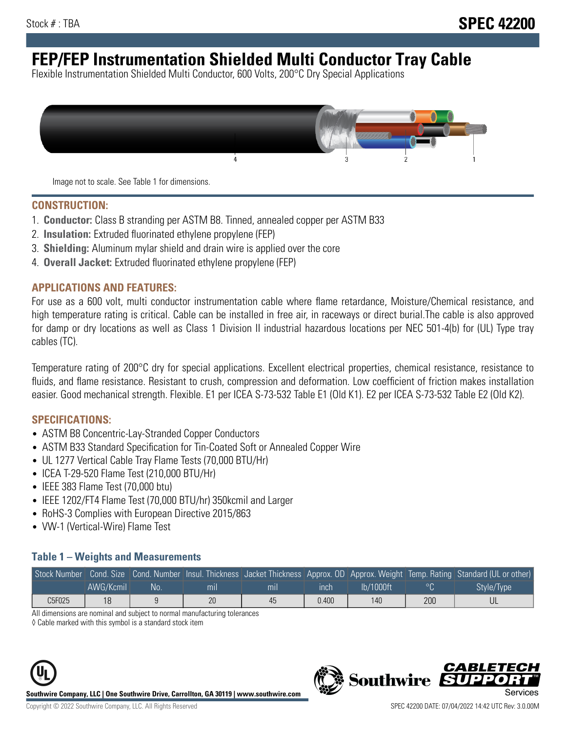# **FEP/FEP Instrumentation Shielded Multi Conductor Tray Cable**

Flexible Instrumentation Shielded Multi Conductor, 600 Volts, 200°C Dry Special Applications



Image not to scale. See Table 1 for dimensions.

#### **CONSTRUCTION:**

- 1. **Conductor:** Class B stranding per ASTM B8. Tinned, annealed copper per ASTM B33
- 2. **Insulation:** Extruded fluorinated ethylene propylene (FEP)
- 3. **Shielding:** Aluminum mylar shield and drain wire is applied over the core
- 4. **Overall Jacket:** Extruded fluorinated ethylene propylene (FEP)

#### **APPLICATIONS AND FEATURES:**

For use as a 600 volt, multi conductor instrumentation cable where flame retardance, Moisture/Chemical resistance, and high temperature rating is critical. Cable can be installed in free air, in raceways or direct burial.The cable is also approved for damp or dry locations as well as Class 1 Division II industrial hazardous locations per NEC 501-4(b) for (UL) Type tray cables (TC).

Temperature rating of 200°C dry for special applications. Excellent electrical properties, chemical resistance, resistance to fluids, and flame resistance. Resistant to crush, compression and deformation. Low coefficient of friction makes installation easier. Good mechanical strength. Flexible. E1 per ICEA S-73-532 Table E1 (Old K1). E2 per ICEA S-73-532 Table E2 (Old K2).

#### **SPECIFICATIONS:**

- ASTM B8 Concentric-Lay-Stranded Copper Conductors
- ASTM B33 Standard Specification for Tin-Coated Soft or Annealed Copper Wire
- UL 1277 Vertical Cable Tray Flame Tests (70,000 BTU/Hr)
- ICEA T-29-520 Flame Test (210,000 BTU/Hr)
- IEEE 383 Flame Test (70,000 btu)
- IEEE 1202/FT4 Flame Test (70,000 BTU/hr) 350kcmil and Larger
- RoHS-3 Complies with European Directive 2015/863
- VW-1 (Vertical-Wire) Flame Test

#### **Table 1 – Weights and Measurements**

|        |           |    |                |     |             |           |     | Stock Number Cond. Size Cond. Number Insul. Thickness Jacket Thickness Approx. OD Approx. Weight Temp. Rating Standard (UL or other) |
|--------|-----------|----|----------------|-----|-------------|-----------|-----|--------------------------------------------------------------------------------------------------------------------------------------|
|        | AWG/Kcmil | No | m <sub>l</sub> | mil | <b>inch</b> | Ib/1000ft |     | Style/Type                                                                                                                           |
| C5F025 | 18        |    | 20             | 45  | 0.400       | 140       | 200 |                                                                                                                                      |

All dimensions are nominal and subject to normal manufacturing tolerances

◊ Cable marked with this symbol is a standard stock item